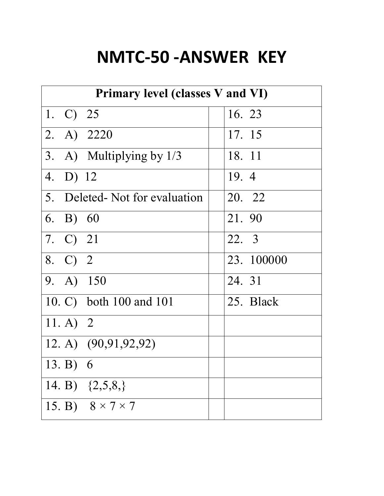## **NMTC-50 -ANSWER KEY**

| Primary level (classes V and VI) |                               |            |  |
|----------------------------------|-------------------------------|------------|--|
| 1. C) 25                         |                               | 16. 23     |  |
| 2. A) 2220                       |                               | 17. 15     |  |
|                                  | 3. A) Multiplying by 1/3      | 18. 11     |  |
| 4. D) 12                         |                               | 19.4       |  |
|                                  | 5. Deleted-Not for evaluation | 20. 22     |  |
| 6. B) $60$                       |                               | 21.90      |  |
| 7. C) 21                         |                               | 22. 3      |  |
| 8. C) 2                          |                               | 23. 100000 |  |
| 9. A) 150                        |                               | 24. 31     |  |
|                                  | 10. C) both 100 and 101       | 25. Black  |  |
| 11. A) 2                         |                               |            |  |
|                                  | 12. A) (90,91,92,92)          |            |  |
| 13. B) $6$                       |                               |            |  |
|                                  | 14. B) $\{2,5,8\}$            |            |  |
|                                  | 15. B) $8 \times 7 \times 7$  |            |  |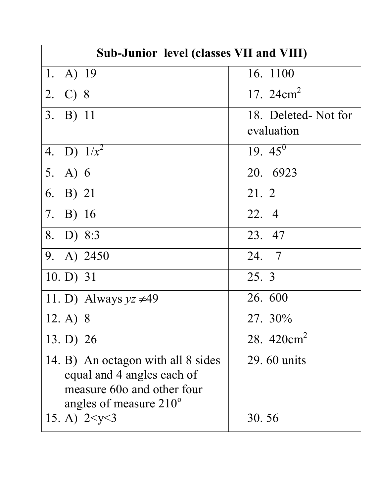| Sub-Junior level (classes VII and VIII)                                                                                           |                                   |  |
|-----------------------------------------------------------------------------------------------------------------------------------|-----------------------------------|--|
| 1. A) $19$                                                                                                                        | 16. 1100                          |  |
| 2. C) 8                                                                                                                           | 17. $24 \text{cm}^2$              |  |
| 3. B) 11                                                                                                                          | 18. Deleted-Not for<br>evaluation |  |
| 4. D) $1/x^2$                                                                                                                     | 19. $45^0$                        |  |
| 5. A) $6$                                                                                                                         | 20. 6923                          |  |
| 6. B) 21                                                                                                                          | 21. 2                             |  |
| 7. B) 16                                                                                                                          | 22. 4                             |  |
| 8. D) 8:3                                                                                                                         | 23. 47                            |  |
| 9. A) 2450                                                                                                                        | 24. 7                             |  |
| $10. D$ ) 31                                                                                                                      | 25. 3                             |  |
| 11. D) Always $yz \neq 49$                                                                                                        | 26.600                            |  |
| 12. A) 8                                                                                                                          | 27. 30%                           |  |
| 13. D) $26$                                                                                                                       | 28. $420cm2$                      |  |
| 14. B) An octagon with all 8 sides<br>equal and 4 angles each of<br>measure 60o and other four<br>angles of measure $210^{\circ}$ | 29.60 units                       |  |
| 15. A) $2 < y < 3$                                                                                                                | 30.56                             |  |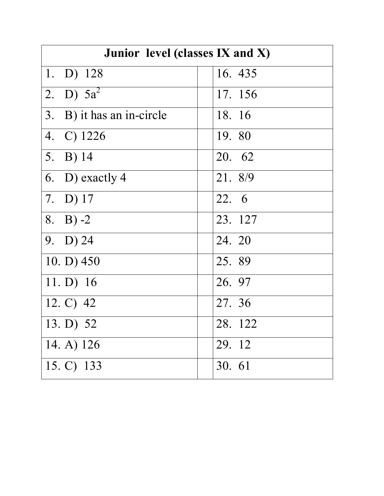| Junior level (classes IX and X) |         |  |
|---------------------------------|---------|--|
| 1. D) $128$                     | 16. 435 |  |
| 2. D) $5a^2$                    | 17. 156 |  |
| 3. B) it has an in-circle       | 18. 16  |  |
| 4. C) 1226                      | 19. 80  |  |
| 5. B) $14$                      | 20. 62  |  |
| 6. D) exactly 4                 | 21. 8/9 |  |
| 7. D) $17$                      | 22. 6   |  |
| 8. B) $-2$                      | 23. 127 |  |
| 9. $D)$ 24                      | 24. 20  |  |
| 10. D) $450$                    | 25.89   |  |
| 11. D) $16$                     | 26. 97  |  |
| 12. $C)$ 42                     | 27. 36  |  |
| 13. D) $52$                     | 28. 122 |  |
| 14. A) $126$                    | 29. 12  |  |
| 15. C) 133                      | 30. 61  |  |